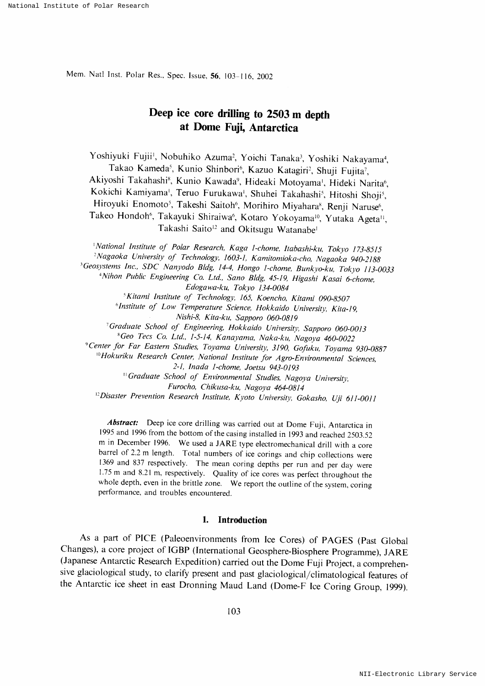Mem. Natl Inst. Polar Res., Spec. Issue, 56, 103-116, 2002

# Deep ice core drilling to 2503 m depth at Dome Fuji, Antarctica

Yoshiyuki Fujii<sup>1</sup>, Nobuhiko Azuma<sup>2</sup>, Yoichi Tanaka<sup>3</sup>, Yoshiki Nakayama<sup>4</sup>, Takao Kameda<sup>5</sup>, Kunio Shinbori<sup>6</sup>, Kazuo Katagiri<sup>2</sup>, Shuji Fujita<sup>7</sup>, Akiyoshi Takahashi<sup>8</sup>, Kunio Kawada<sup>9</sup>, Hideaki Motoyama<sup>1</sup>, Hideki Narita<sup>6</sup>, Kokichi Kamiyama<sup>i</sup>, Teruo Furukawa<sup>i</sup>, Shuhei Takahashi<sup>s</sup>, Hitoshi Shoji<sup>5</sup>, Hiroyuki Enomoto<sup>5</sup>, Takeshi Saitoh<sup>6</sup>, Morihiro Miyahara<sup>8</sup>, Renji Naruse<sup>6</sup>. Takeo Hondoh<sup>6</sup>, Takayuki Shiraiwa<sup>6</sup>, Kotaro Yokoyama<sup>10</sup>, Yutaka Ageta<sup>11</sup>, Takashi Saito<sup>12</sup> and Okitsugu Watanabe<sup>1</sup>

<sup>1</sup>National Institute of Polar Research, Kaga 1-chome, Itabashi-ku, Tokyo 173-8515 <sup>2</sup>Nagaoka University of Technology, 1603-1, Kamitomioka-cho, Nagaoka 940-2188 <sup>3</sup>Geosystems Inc., SDC Nanyodo Bldg, 14-4, Hongo 1-chome, Bunkyo-ku, Tokyo 113-0033 <sup>4</sup>Nihon Public Engineering Co. Ltd., Sano Bldg, 45-19, Higashi Kasai 6-chome, Edogawa-ku, Tokyo 134-0084 <sup>5</sup>Kitami Institute of Technology, 165, Koencho, Kitami 090-8507 <sup>6</sup> Institute of Low Temperature Science, Hokkaido University, Kita-19, Nishi-8, Kita-ku, Sapporo 060-0819 <sup>7</sup>Graduate School of Engineering, Hokkaido University, Sapporo 060-0013 <sup>8</sup>Geo Tecs Co. Ltd., 1-5-14, Kanayama, Naka-ku, Nagoya 460-0022 <sup>9</sup> Center for Far Eastern Studies, Toyama University, 3190, Gofuku, Toyama 930-0887 <sup>10</sup>Hokuriku Research Center, National Institute for Agro-Environmental Sciences, 2-1, Inada 1-chome, Joetsu 943-0193 <sup>11</sup> Graduate School of Environmental Studies, Nagoya University, Furocho, Chikusa-ku, Nagoya 464-0814

<sup>12</sup>Disaster Prevention Research Institute, Kyoto University, Gokasho, Uji 611-0011

Abstract: Deep ice core drilling was carried out at Dome Fuji, Antarctica in 1995 and 1996 from the bottom of the casing installed in 1993 and reached 2503.52 m in December 1996. We used a JARE type electromechanical drill with a core barrel of 2.2 m length. Total numbers of ice corings and chip collections were 1369 and 837 respectively. The mean coring depths per run and per day were 1.75 m and 8.21 m, respectively. Quality of ice cores was perfect throughout the whole depth, even in the brittle zone. We report the outline of the system, coring performance, and troubles encountered.

### 1. Introduction

As a part of PICE (Paleoenvironments from Ice Cores) of PAGES (Past Global Changes), a core project of IGBP (International Geosphere-Biosphere Programme), JARE (Japanese Antarctic Research Expedition) carried out the Dome Fuji Project, a comprehensive glaciological study, to clarify present and past glaciological/climatological features of the Antarctic ice sheet in east Dronning Maud Land (Dome-F Ice Coring Group, 1999).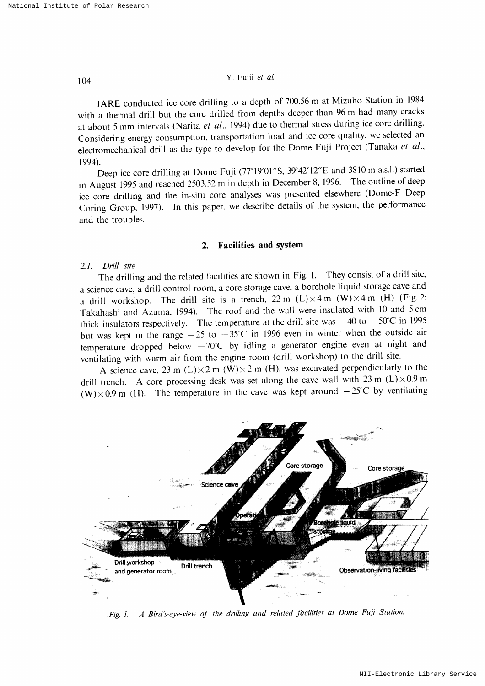JARE conducted ice core drilling to a depth of 700.56 m at Mizuho Station in 1984 with a thermal drill but the core drilled from depths deeper than 96 m had many cracks at about 5 mm intervals (Narita et al., 1994) due to thermal stress during ice core drilling. Considering energy consumption, transportation load and ice core quality, we selected an electromechanical drill as the type to develop for the Dome Fuji Project (Tanaka et al., 1994).

Deep ice core drilling at Dome Fuji (77°19'01"S, 39°42'12"E and 3810 m a.s.l.) started in August 1995 and reached 2503.52 m in depth in December 8, 1996. The outline of deep ice core drilling and the in-situ core analyses was presented elsewhere (Dome-F Deep Coring Group, 1997). In this paper, we describe details of the system, the performance and the troubles.

### 2. Facilities and system

### $2.1.$  Drill site

The drilling and the related facilities are shown in Fig. 1. They consist of a drill site, a science cave, a drill control room, a core storage cave, a borehole liquid storage cave and a drill workshop. The drill site is a trench,  $22 \text{ m } (L) \times 4 \text{ m } (W) \times 4 \text{ m } (H)$  (Fig. 2; Takahashi and Azuma, 1994). The roof and the wall were insulated with 10 and 5 cm thick insulators respectively. The temperature at the drill site was  $-40$  to  $-50^{\circ}$ C in 1995 but was kept in the range  $-25$  to  $-35$ °C in 1996 even in winter when the outside air temperature dropped below  $-70^{\circ}$ C by idling a generator engine even at night and ventilating with warm air from the engine room (drill workshop) to the drill site.

A science cave, 23 m (L) $\times$  2 m (W) $\times$  2 m (H), was excavated perpendicularly to the drill trench. A core processing desk was set along the cave wall with 23 m (L) $\times$ 0.9 m (W) $\times$ 0.9 m (H). The temperature in the cave was kept around  $-25^{\circ}$ C by ventilating



Fig. 1. A Bird's-eye-view of the drilling and related facilities at Dome Fuji Station.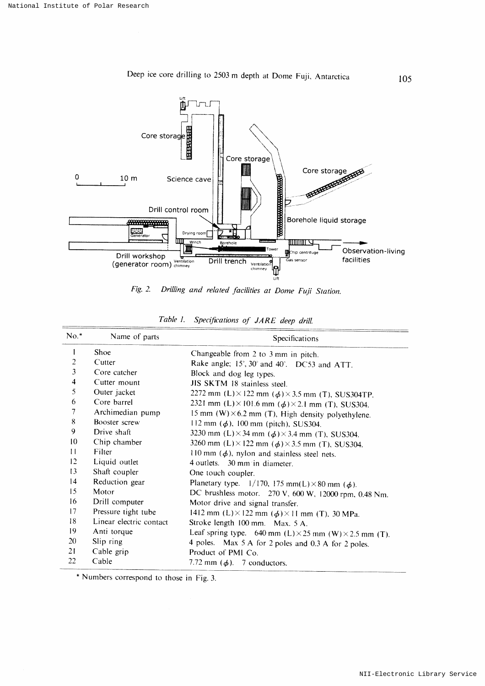

Deep ice core drilling to 2503 m depth at Dome Fuji, Antarctica

Drilling and related facilities at Dome Fuji Station. Fig.  $2$ .

| $No.*$          | Name of parts           | Specifications                                                        |  |  |  |
|-----------------|-------------------------|-----------------------------------------------------------------------|--|--|--|
| I               | Shoe                    | Changeable from 2 to 3 mm in pitch.                                   |  |  |  |
| 2               | Cutter                  | Rake angle; 15°, 30° and 40°. DC53 and ATT.                           |  |  |  |
| 3               | Core catcher            | Block and dog leg types.                                              |  |  |  |
| 4               | Cutter mount            | JIS SKTM 18 stainless steel.                                          |  |  |  |
| 5               | Outer jacket            | 2272 mm (L) $\times$ 122 mm ( $\phi$ ) $\times$ 3.5 mm (T), SUS304TP. |  |  |  |
| 6               | Core barrel             | 2321 mm (L) $\times$ 101.6 mm ( $\phi$ ) $\times$ 2.1 mm (T), SUS304. |  |  |  |
| 7               | Archimedian pump        | 15 mm $(W) \times 6.2$ mm (T), High density polyethylene.             |  |  |  |
| 8               | Booster screw           | 112 mm $(\phi)$ , 100 mm (pitch), SUS304.                             |  |  |  |
| 9               | Drive shaft             | 3230 mm (L) $\times$ 34 mm ( $\phi$ ) $\times$ 3.4 mm (T), SUS304.    |  |  |  |
| 10              | Chip chamber            | 3260 mm (L) $\times$ 122 mm ( $\phi$ ) $\times$ 3.5 mm (T), SUS304.   |  |  |  |
| $\overline{11}$ | Filter                  | 110 mm $(\phi)$ , nylon and stainless steel nets.                     |  |  |  |
| 12              | Liquid outlet           | 4 outlets. 30 mm in diameter.                                         |  |  |  |
| 13              | Shaft coupler           | One touch coupler.                                                    |  |  |  |
| 14              | Reduction gear          | Planetary type. $1/170$ , 175 mm(L) × 80 mm ( $\phi$ ).               |  |  |  |
| 15              | Motor                   | DC brushless motor. 270 V, 600 W, 12000 rpm, 0.48 Nm.                 |  |  |  |
| 16              | Drill computer          | Motor drive and signal transfer.                                      |  |  |  |
| 17              | Pressure tight tube     | 1412 mm (L) $\times$ 122 mm ( $\phi$ ) $\times$ 11 mm (T), 30 MPa.    |  |  |  |
| 18              | Linear electric contact | Stroke length 100 mm. Max. 5 A.                                       |  |  |  |
| 19              | Anti torque             | Leaf spring type. 640 mm (L) $\times$ 25 mm (W) $\times$ 2.5 mm (T).  |  |  |  |
| 20              | Slip ring               | 4 poles. Max 5 A for 2 poles and 0.3 A for 2 poles.                   |  |  |  |
| 21              | Cable grip              | Product of PMI Co.                                                    |  |  |  |
| 22              | Cable                   | 7.72 mm $(\phi)$ . 7 conductors.                                      |  |  |  |

|  |  |  | Table 1. Specifications of JARE deep drill. |  |  |  |  |
|--|--|--|---------------------------------------------|--|--|--|--|
|--|--|--|---------------------------------------------|--|--|--|--|

\* Numbers correspond to those in Fig. 3.

105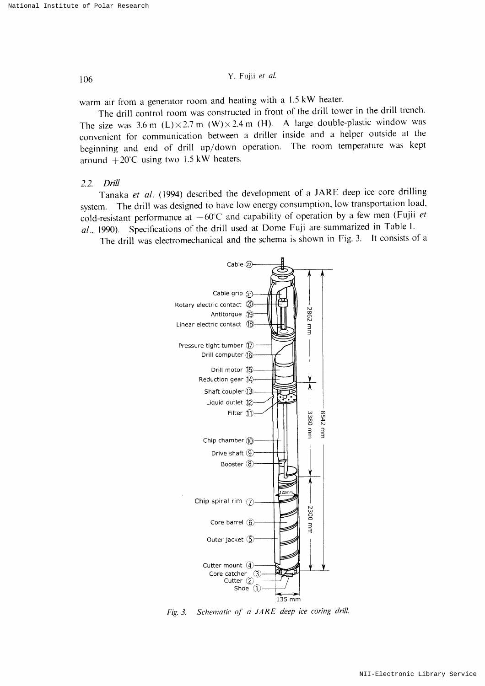warm air from a generator room and heating with a  $1.5 \text{ kW}$  heater.

The drill control room was constructed in front of the drill tower in the drill trench. The size was 3.6 m (L) $\times$  2.7 m (W) $\times$  2.4 m (H). A large double-plastic window was convenient for communication between a driller inside and a helper outside at the beginning and end of drill up/down operation. The room temperature was kept around  $+20^{\circ}$ C using two 1.5 kW heaters.

#### 2.2 DriU

Tanaka et al. (1994) described the development of a JARE deep ice core drilling system. The drill was designed to have low energy consumption, low transportation load, cold-resistant performance at  $-60^{\circ}$ C and capability of operation by a few men (Fujii et  $al$ , 1990). Specifications of the drill used at Dome Fuji are summarized in Table 1.

The drill was electromechanical and the schema is shown in Fig. 3. It consists of a



Fig. 3. Schematic of a JARE deep ice coring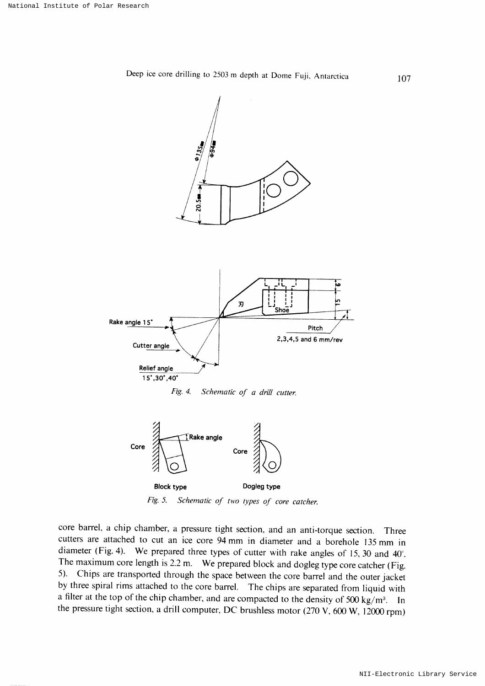



core barrel, a chip chamber, a pressure tight section, and an anti-torque section. Three cutters are attached to cut an ice core 94 mm in diameter and a borehole 135 mm in diameter (Fig. 4). We prepared three types of cutter with rake angles of 15,30 and 40°. The maximum core length is 2.2 m. We prepared block and dogleg type core catcher (Fig. 5). Chips are transported through the space between the core barrel and the outer jacket by three spiral rims attached to the core barrel. The chips are separated from liquid with a filter at the top of the chip chamber, and are compacted to the density of 500 kg/m<sup>3</sup>. In the pressure tight section, a drill computer, DC brushless motor (270 V, 600 W, 12000 rpm)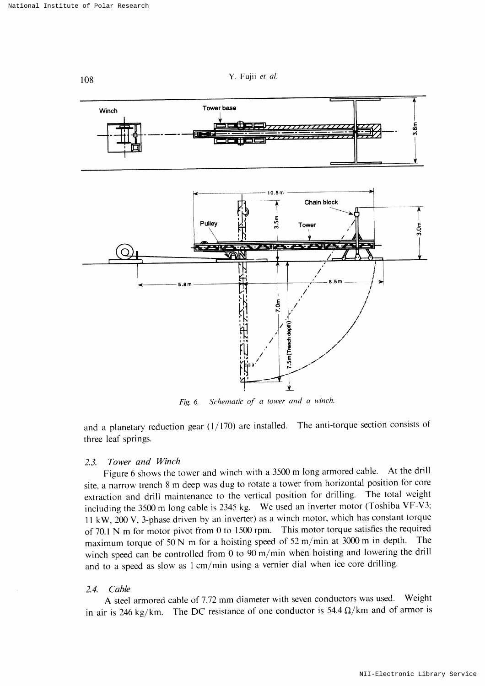

Fig. 6. Schematic of a tower and a winch.

and a planetary reduction gear  $(1/170)$  are installed. The anti-torque section consists of three leaf springs.

#### 2.3. Tower and Winch

Figure 6 shows the tower and winch with a 3500 m long armored cable. At the drill site, a narrow trench 8 m deep was dug to rotate a tower from horizontal position for core extraction and drill maintenance to the vertical position for drilling. The total weight including the 3500 m long cable is 2345 kg. We used an inverter motor (Toshiba VF-V3; 11 kW, 200 V, 3-phase driven by an inverter) as a winch motor, which has constant torque of 70.1 N m for motor pivot from 0 to 1500 rpm. This motor torque satisfies the required maximum torque of 50 N m for a hoisting speed of 52 m/min at 3000 m in depth. The maximum torque of 50 N m for a hoisting speed of 52 m/min at 3000 m in depth. winch speed can be controlled from 0 to  $90 \text{ m/min}$  when hoisting and lowering the drill and to a speed as slow as 1 cm/min using a vernier dial when ice core drilling.

### $2.4$ . Cable

A steel armored cable of 7.72 mm diameter with seven conductors was used. Weight in air is 246 kg/km. The DC resistance of one conductor is 54.4  $\Omega$ /km and of armor is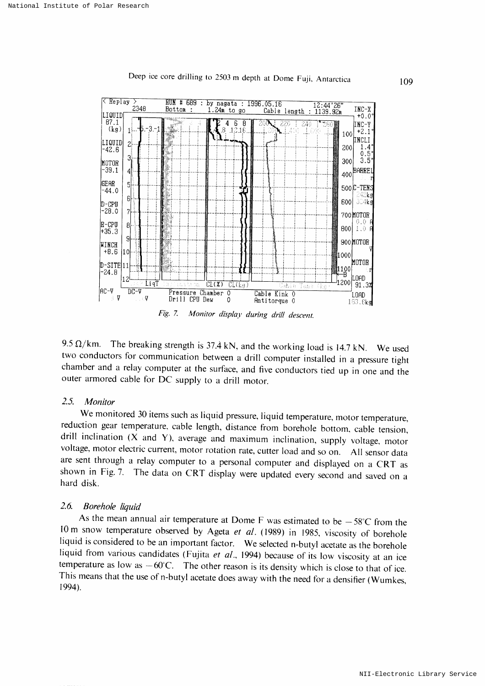

Deep ice core drilling to 2503 m depth at Dome Fuji, Antarctica

9.5  $\Omega$ /km. The breaking strength is 37.4 kN, and the working load is 14.7 kN. We used two conductors for communication between a drill computer installed in a pressure tight chamber and a relay computer at the surface, and five conductors tied up in one and the outer armored cable for DC supply to a drill motor.

#### $2.5.$ Monitor

We monitored 30 items such as liquid pressure, liquid temperature, motor temperature, reduction gear temperature, cable length, distance from borehole bottom, cable tension, drill inclination  $(X$  and  $Y)$ , average and maximum inclination, supply voltage, motor voltage, motor electric current, motor rotation rate, cutter load and so on. All sensor data are sent through a relay computer to a personal computer and displayed on a CRT as shown in Fig. 7. The data on CRT display were updated every second and saved on a hard disk.

#### $2.6.$ Borehole liquid

As the mean annual air temperature at Dome F was estimated to be  $-58^{\circ}$ C from the 10 m snow temperature observed by Ageta et al. (1989) in 1985, viscosity of borehole liquid is considered to be an important factor. We selected n-butyl acetate as the borehole liquid from various candidates (Fujita et al., 1994) because of its low viscosity at an ice temperature as low as  $-60^{\circ}$ C. The other reason is its density which is close to that of ice. This means that the use of n-butyl acetate does away with the need for a densifier (Wumkes, 1994).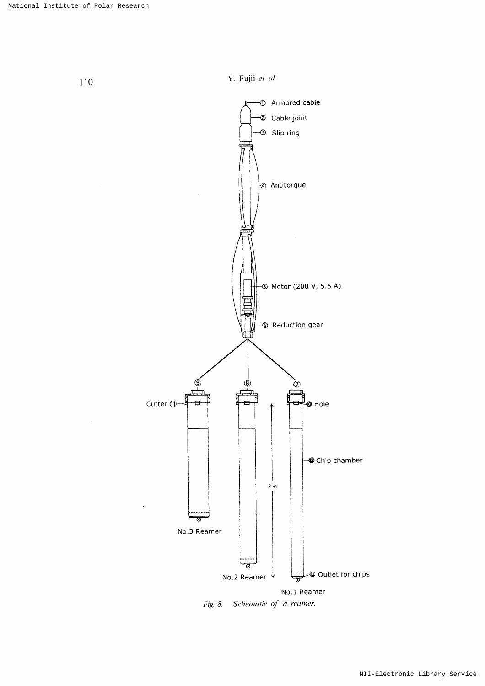

Fig. 8. Schematic of a reamer.

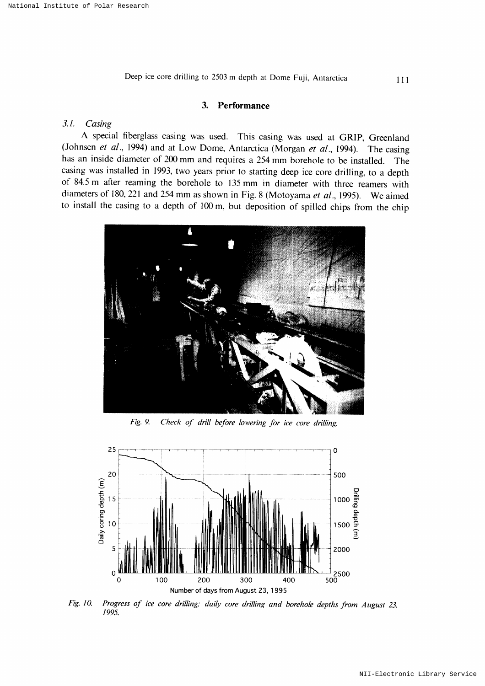111

#### $3.$ Performance

#### $3.1.$ Casing

A special fiberglass casing was used. This casing was used at GRIP, Greenland (Johnsen et al., 1994) and at Low Dome, Antarctica (Morgan et al., 1994). The casing has an inside diameter of 200 mm and requires a 254 mm borehole to be installed. The casing was installed in 1993, two years prior to starting deep ice core drilling, to a depth of 84.5 m after reaming the borehole to 135 mm in diameter with three reamers with diameters of 180, 221 and 254 mm as shown in Fig. 8 (Motoyama et al., 1995). We aimed to install the casing to a depth of 100 m, but deposition of spilled chips from the chip



Fig. 9. Check of drill before lowering for ice core drilling.



Fig. 10. Progress of ice core drilling; daily core drilling and borehole depths from August 23, 1995.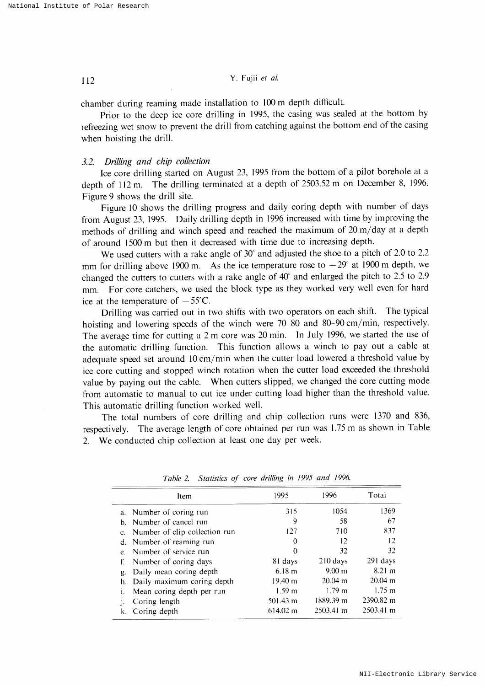chamber during reaming made installation to 100 m depth difficult.

Prior to the deep ice core drilling in 1995, the casing was sealed at the bottom by refreezing wet snow to prevent the drill from catching against the bottom end of the casing when hoisting the drill.

### 3.2. Drilling and chip collection

Ice core drilling started on August 23, 1995 from the bottom of a pilot borehole at a depth of  $112$  m. The drilling terminated at a depth of  $2503.52$  m on December 8, 1996. Figure 9 shows the drill site.

Figure 10 shows the drilling progress and daily coring depth with number of days from August 23, 1995. Daily drilling depth in 1996 increased with time by improving the methods of drilling and winch speed and reached the maximum of  $20 \text{ m/day}$  at a depth of around 1500 m but then it decreased with time due to increasing depth.

We used cutters with a rake angle of  $30^{\circ}$  and adjusted the shoe to a pitch of 2.0 to 2.2 mm for drilling above 1900 m. As the ice temperature rose to  $-29^\circ$  at 1900 m depth, we changed the cutters to cutters with a rake angle of  $40^{\circ}$  and enlarged the pitch to 2.5 to 2.9 mm. For core catchers, we used the block type as they worked very well even for hard ice at the temperature of  $-55^{\circ}$ C.

Drilling was carried out in two shifts with two operators on each shift. The typical hoisting and lowering speeds of the winch were  $70-80$  and  $80-90$  cm/min, respectively. The average time for cutting a 2 m core was 20 min. In July 1996, we started the use of the automatic drilling function. This function allows a winch to pay out a cable at adequate speed set around  $10 \text{ cm/min}$  when the cutter load lowered a threshold value by ice core cutting and stopped winch rotation when the cutter load exceeded the threshold value by paying out the cable, When cutters slipped, we changed the core cutting mode from automatic to manual to cut ice under cutting load higher than the threshold value. This automatic drilling function worked well.

The total numbers of core drilling and chip collection runs were 1370 and 836, respectively. The average length of core obtained per run was 1.75 m as shown in Table 2. We conducted chip collection at least one day per week.

| Item                             | 1995               | 1996                | Total                |
|----------------------------------|--------------------|---------------------|----------------------|
| a. Number of coring run          | 315                | 1054                | 1369                 |
| b. Number of cancel run          | 9                  | 58                  | 67                   |
| c. Number of clip collection run | 127                | 710                 | 837                  |
| d. Number of reaming run         | 0                  | 12                  | 12                   |
| e. Number of service run         | 0                  | 32                  | 32                   |
| Number of coring days<br>f.      | 81 days            | $210$ days          | 291 days             |
| Daily mean coring depth<br>g.    | 6.18 m             | 9.00 m              | 8.21 m               |
| Daily maximum coring depth<br>h. | $19.40 \text{ m}$  | $20.04 \text{ m}$   | $20.04 \text{ m}$    |
| Mean coring depth per run        | 1.59 <sub>m</sub>  | $1.79 \text{ m}$    | $1.75 \; \mathrm{m}$ |
| Coring length                    | 501.43 m           | 1889.39 m           | 2390.82 m            |
| Coring depth                     | $614.02 \text{ m}$ | $2503.41 \text{ m}$ | 2503.41 m            |

Table 2. Statistics of core drilling in 1995 and 1996.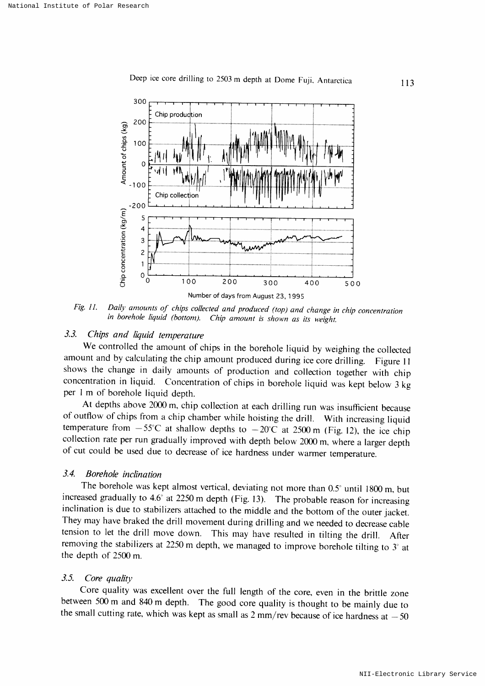

Deep ice core drilling to 2503 m depth at Dome Fuji, Antarctica

Daily amounts of chips collected and produced (top) and change in chip concentration Fig. 11. in borehole liquid (bottom). Chip amount is shown as its weight.

#### $3.3.$ Chips and liquid temperature

We controlled the amount of chips in the borehole liquid by weighing the collected amount and by calculating the chip amount produced during ice core drilling. Figure 11 shows the change in daily amounts of production and collection together with chip concentration in liquid. Concentration of chips in borehole liquid was kept below 3 kg per 1 m of borehole liquid depth.

At depths above 2000 m, chip collection at each drilling run was insufficient because of outflow of chips from a chip chamber while hoisting the drill. With increasing liquid temperature from  $-55^{\circ}$ C at shallow depths to  $-20^{\circ}$ C at 2500 m (Fig. 12), the ice chip collection rate per run gradually improved with depth below 2000 m, where a larger depth of cut could be used due to decrease of ice hardness under warmer temperature.

#### $3.4$ Borehole inclination

The borehole was kept almost vertical, deviating not more than 0.5° until 1800 m, but increased gradually to  $4.6^{\circ}$  at 2250 m depth (Fig. 13). The probable reason for increasing inclination is due to stabilizers attached to the middle and the bottom of the outer jacket. They may have braked the drill movement during drilling and we needed to decrease cable tension to let the drill move down. This may have resulted in tilting the drill. After removing the stabilizers at 2250 m depth, we managed to improve borehole tilting to  $3^\circ$  at the depth of 2500 m.

#### $3.5.$ Core quality

Core quality was excellent over the full length of the core, even in the brittle zone between 500 m and 840 m depth. The good core quality is thought to be mainly due to the small cutting rate, which was kept as small as  $2 \text{ mm/rev}$  because of ice hardness at  $-50$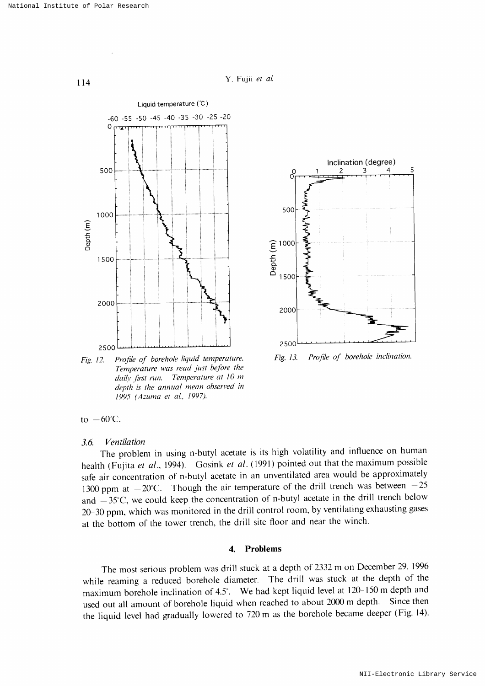114 Y. Fujii et al.





Fig.13. Profile of borehole inclination.

Fig. 12. Profile of borehole liquid temperature. Temperature was read just before the daily first run. Temperature at 10 m depth is the annual mean observed in 1995 (Azuma et al., 1997).

## to  $-60^{\circ}$ C.

### 3.6, Ventilation

The problem in using n-butyl acetate is its high volatility and influence on human health (Fujita et al., 1994). Gosink et al. (1991) pointed out that the maximum possible safe air concentration of n-butyl acetate in an unventilated area would be approximately 1300 ppm at  $-20^{\circ}$ C. Though the air temperature of the drill trench was between  $-25$ and  $-35^{\circ}$ C, we could keep the concentration of n-butyl acetate in the drill trench below 20-30 ppm, which was monitored in the drill control room, by ventilating exhausting gases at the bottom of the tower trench, the drill site floor and near the winch.

#### 4. Problems

The most serious problem was drill stuck at a depth of 2332 m on December 29, 1996 while reaming a reduced borehole diameter. The drill was stuck at the depth of the maximum borehole inclination of 4.5°. We had kept liquid level at  $120-150$  m depth and used out all amount of borehole liquid when reached to about 2000 m depth. Since then the liquid level had gradually lowered to 720 m as the borehole became deeper (Fig. 14).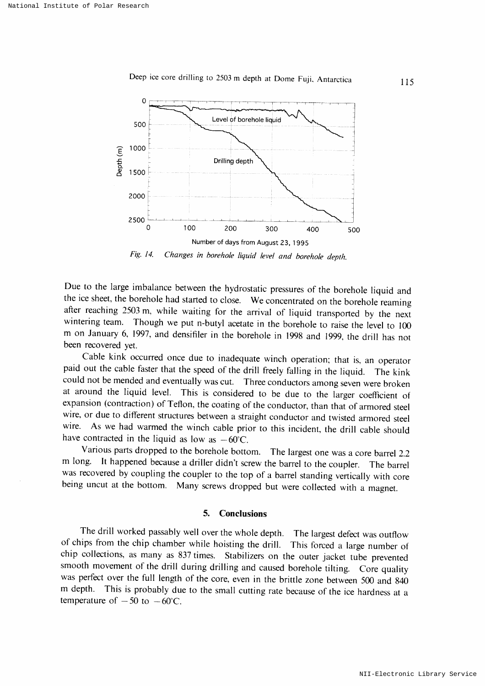



Fig. 14. Changes in borehole liquid level and borehole depth.

Due to the large imbalance between the hydrostatic pressures of the borehole liquid and the ice sheet, the borehole had started to close. We concentrated on the borehole reaming after reaching 2503 m, while waiting for the arrival of liquid transported by the next wintering team. Though we put n-butyl acetate in the borehole to raise the level to 100 m on January 6, 1997, and densifiler in the borehole in 1998 and 1999, the drill has not been recovered vet.

Cable kink occurred once due to inadequate winch operation; that is, an operator paid out the cable faster that the speed of the drill freely falling in the liquid. The kink could not be mended and eventually was cut. Three conductors among seven were broken at around the liquid level. This is considered to be due to the larger coefficient of expansion (contraction) of Teflon, the coating of the conductor, than that of armored steel wire, or due to different structures between a straight conductor and twisted armored steel wire. As we had warmed the winch cable prior to this incident, the drill cable should have contracted in the liquid as low as  $-60^{\circ}$ C.

Various parts dropped to the borehole bottom. The largest one was a core barrel 2.2<br>m long. It happened because a driller didn't screw the barrel to the coupler. The barrel It happened because a driller didn't screw the barrel to the coupler. The barrel was recovered by coupling the coupler to the top of a barrel standing vertically with core being uncut at the bottom. Many screws dropped but were collected with a magnet.

### 5. Conclusions

The drill worked passably well over the whole depth. The largest defect was outflow of chips from the chip chamber while hoisting the drill. This forced a large number of chip collections, as many as 837 times. Stabilizers on the outer jacket tube prevented smooth movement of the drill during drilling and caused borehole tilting. Core quality was perfect over the full length of the core, even in the brittle zone between 500 and 840 m depth. This is probably due to the small cutting rate because of the ice hardness at a This is probably due to the small cutting rate because of the ice hardness at a temperature of  $-50$  to  $-60^{\circ}$ C.